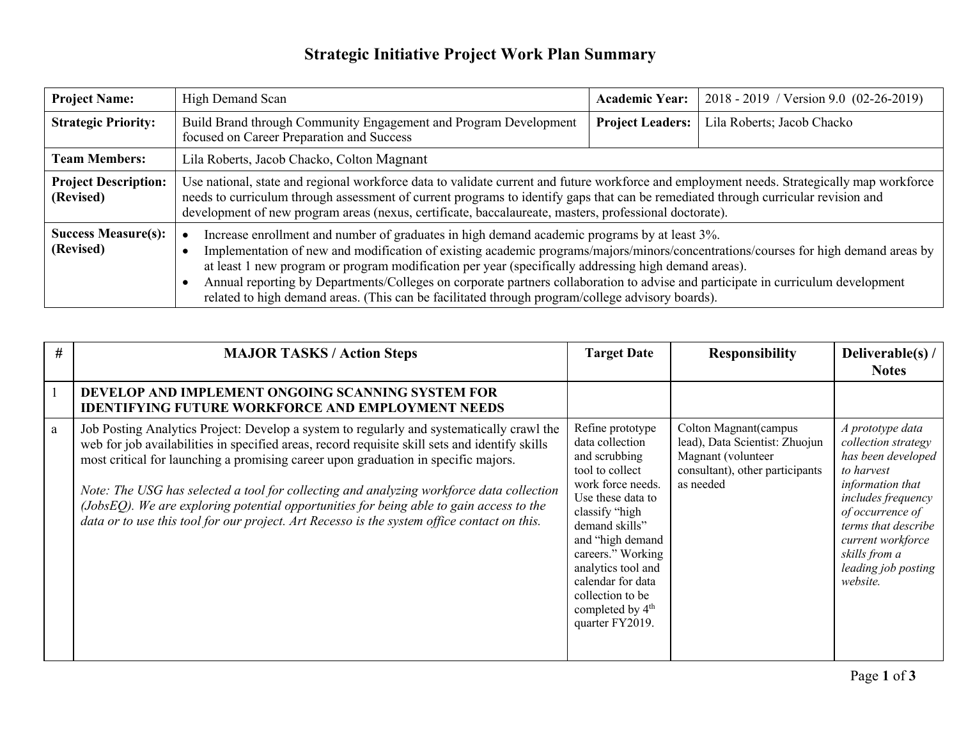## **Strategic Initiative Project Work Plan Summary**

| <b>Project Name:</b>                     | High Demand Scan                                                                                                                                                                                                                                                                                                                                                                                                                                                                                                                                                                   | <b>Academic Year:</b>   | 2018 - 2019 / Version 9.0 (02-26-2019) |  |
|------------------------------------------|------------------------------------------------------------------------------------------------------------------------------------------------------------------------------------------------------------------------------------------------------------------------------------------------------------------------------------------------------------------------------------------------------------------------------------------------------------------------------------------------------------------------------------------------------------------------------------|-------------------------|----------------------------------------|--|
| <b>Strategic Priority:</b>               | Build Brand through Community Engagement and Program Development<br>focused on Career Preparation and Success                                                                                                                                                                                                                                                                                                                                                                                                                                                                      | <b>Project Leaders:</b> | Lila Roberts; Jacob Chacko             |  |
| <b>Team Members:</b>                     | Lila Roberts, Jacob Chacko, Colton Magnant                                                                                                                                                                                                                                                                                                                                                                                                                                                                                                                                         |                         |                                        |  |
| <b>Project Description:</b><br>(Revised) | Use national, state and regional workforce data to validate current and future workforce and employment needs. Strategically map workforce<br>needs to curriculum through assessment of current programs to identify gaps that can be remediated through curricular revision and<br>development of new program areas (nexus, certificate, baccalaureate, masters, professional doctorate).                                                                                                                                                                                         |                         |                                        |  |
| <b>Success Measure(s):</b><br>(Revised)  | Increase enrollment and number of graduates in high demand academic programs by at least 3%.<br>Implementation of new and modification of existing academic programs/majors/minors/concentrations/courses for high demand areas by<br>at least 1 new program or program modification per year (specifically addressing high demand areas).<br>Annual reporting by Departments/Colleges on corporate partners collaboration to advise and participate in curriculum development<br>related to high demand areas. (This can be facilitated through program/college advisory boards). |                         |                                        |  |

| # | <b>MAJOR TASKS / Action Steps</b>                                                                                                                                                                                                                                                                                                                                                                                                                                                                                                                                       | <b>Target Date</b>                                                                                                                                                                                                                                                                                               | <b>Responsibility</b>                                                                                                          | Deliverable(s)<br><b>Notes</b>                                                                                                                                                                                                            |
|---|-------------------------------------------------------------------------------------------------------------------------------------------------------------------------------------------------------------------------------------------------------------------------------------------------------------------------------------------------------------------------------------------------------------------------------------------------------------------------------------------------------------------------------------------------------------------------|------------------------------------------------------------------------------------------------------------------------------------------------------------------------------------------------------------------------------------------------------------------------------------------------------------------|--------------------------------------------------------------------------------------------------------------------------------|-------------------------------------------------------------------------------------------------------------------------------------------------------------------------------------------------------------------------------------------|
|   | DEVELOP AND IMPLEMENT ONGOING SCANNING SYSTEM FOR<br><b>IDENTIFYING FUTURE WORKFORCE AND EMPLOYMENT NEEDS</b>                                                                                                                                                                                                                                                                                                                                                                                                                                                           |                                                                                                                                                                                                                                                                                                                  |                                                                                                                                |                                                                                                                                                                                                                                           |
| a | Job Posting Analytics Project: Develop a system to regularly and systematically crawl the<br>web for job availabilities in specified areas, record requisite skill sets and identify skills<br>most critical for launching a promising career upon graduation in specific majors.<br>Note: The USG has selected a tool for collecting and analyzing workforce data collection<br>(JobsEQ). We are exploring potential opportunities for being able to gain access to the<br>data or to use this tool for our project. Art Recesso is the system office contact on this. | Refine prototype<br>data collection<br>and scrubbing<br>tool to collect<br>work force needs.<br>Use these data to<br>classify "high<br>demand skills"<br>and "high demand<br>careers." Working<br>analytics tool and<br>calendar for data<br>collection to be<br>completed by 4 <sup>th</sup><br>quarter FY2019. | Colton Magnant (campus<br>lead), Data Scientist: Zhuojun<br>Magnant (volunteer<br>consultant), other participants<br>as needed | A prototype data<br>collection strategy<br>has been developed<br>to harvest<br>information that<br>includes frequency<br>of occurrence of<br>terms that describe<br>current workforce<br>skills from a<br>leading job posting<br>website. |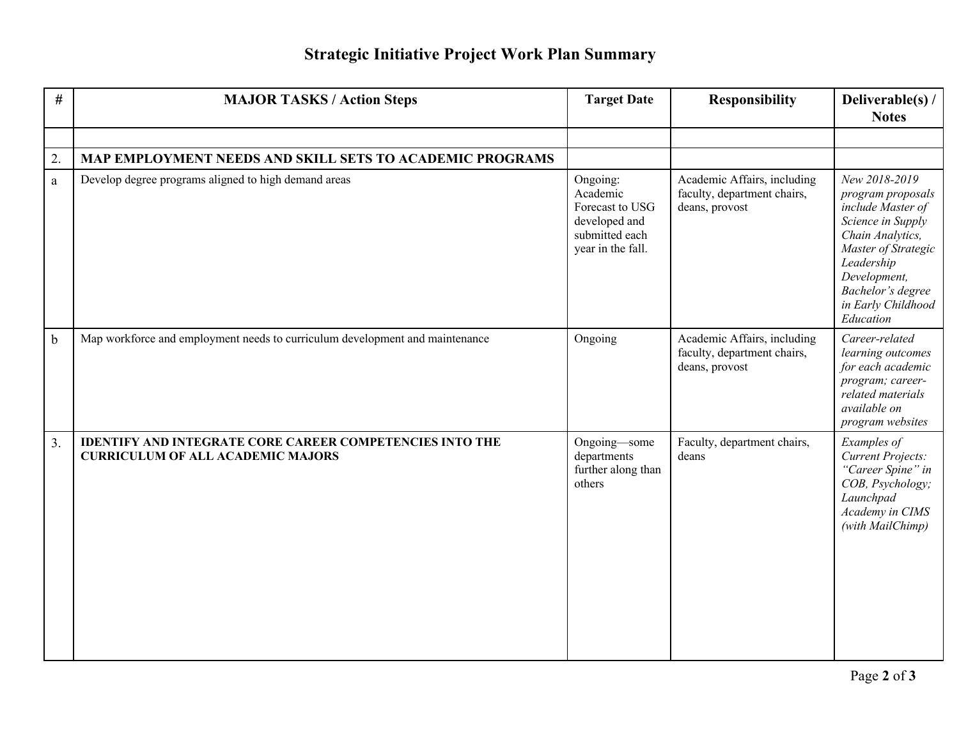## **Strategic Initiative Project Work Plan Summary**

| $\#$         | <b>MAJOR TASKS / Action Steps</b>                                                                           | <b>Target Date</b>                                                                              | <b>Responsibility</b>                                                        | Deliverable(s) /<br><b>Notes</b>                                                                                                                                                                              |
|--------------|-------------------------------------------------------------------------------------------------------------|-------------------------------------------------------------------------------------------------|------------------------------------------------------------------------------|---------------------------------------------------------------------------------------------------------------------------------------------------------------------------------------------------------------|
|              |                                                                                                             |                                                                                                 |                                                                              |                                                                                                                                                                                                               |
| 2.           | MAP EMPLOYMENT NEEDS AND SKILL SETS TO ACADEMIC PROGRAMS                                                    |                                                                                                 |                                                                              |                                                                                                                                                                                                               |
| $\mathbf{a}$ | Develop degree programs aligned to high demand areas                                                        | Ongoing:<br>Academic<br>Forecast to USG<br>developed and<br>submitted each<br>year in the fall. | Academic Affairs, including<br>faculty, department chairs,<br>deans, provost | New 2018-2019<br>program proposals<br>include Master of<br>Science in Supply<br>Chain Analytics,<br>Master of Strategic<br>Leadership<br>Development,<br>Bachelor's degree<br>in Early Childhood<br>Education |
| $\mathbf b$  | Map workforce and employment needs to curriculum development and maintenance                                | Ongoing                                                                                         | Academic Affairs, including<br>faculty, department chairs,<br>deans, provost | Career-related<br>learning outcomes<br>for each academic<br>program; career-<br>related materials<br>available on<br>program websites                                                                         |
| 3.           | <b>IDENTIFY AND INTEGRATE CORE CAREER COMPETENCIES INTO THE</b><br><b>CURRICULUM OF ALL ACADEMIC MAJORS</b> | Ongoing-some<br>departments<br>further along than<br>others                                     | Faculty, department chairs,<br>deans                                         | Examples of<br>Current Projects:<br>"Career Spine" in<br>COB, Psychology;<br>Launchpad<br>Academy in CIMS<br>(with MailChimp)                                                                                 |